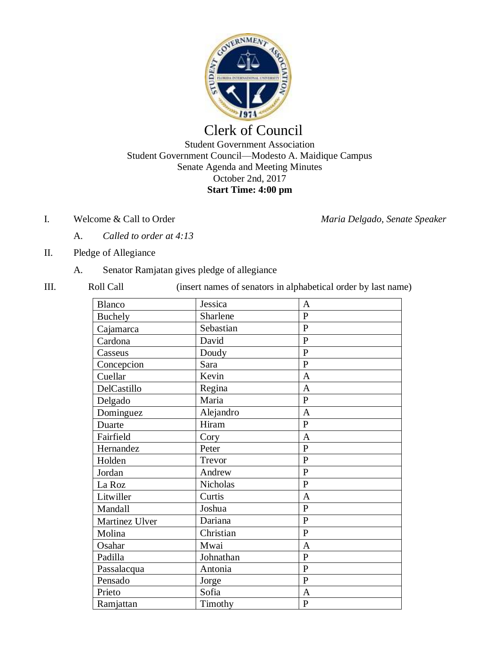

# Clerk of Council Student Government Association Student Government Council—Modesto A. Maidique Campus Senate Agenda and Meeting Minutes October 2nd, 2017 **Start Time: 4:00 pm**

I. Welcome & Call to Order *Maria Delgado, Senate Speaker*

- A. *Called to order at 4:13*
- II. Pledge of Allegiance
	- A. Senator Ramjatan gives pledge of allegiance
- 

III. Roll Call (insert names of senators in alphabetical order by last name)

| Blanco         | Jessica   | A              |
|----------------|-----------|----------------|
| Buchely        | Sharlene  | $\overline{P}$ |
| Cajamarca      | Sebastian | $\overline{P}$ |
| Cardona        | David     | $\overline{P}$ |
| Casseus        | Doudy     | $\overline{P}$ |
| Concepcion     | Sara      | $\overline{P}$ |
| Cuellar        | Kevin     | $\overline{A}$ |
| DelCastillo    | Regina    | $\overline{A}$ |
| Delgado        | Maria     | $\overline{P}$ |
| Dominguez      | Alejandro | $\mathbf{A}$   |
| Duarte         | Hiram     | $\overline{P}$ |
| Fairfield      | Cory      | $\overline{A}$ |
| Hernandez      | Peter     | $\overline{P}$ |
| Holden         | Trevor    | $\overline{P}$ |
| Jordan         | Andrew    | $\mathbf{P}$   |
| La Roz         | Nicholas  | $\overline{P}$ |
| Litwiller      | Curtis    | $\mathbf{A}$   |
| Mandall        | Joshua    | $\overline{P}$ |
| Martinez Ulver | Dariana   | $\mathbf{P}$   |
| Molina         | Christian | $\mathbf{P}$   |
| Osahar         | Mwai      | $\overline{A}$ |
| Padilla        | Johnathan | $\overline{P}$ |
| Passalacqua    | Antonia   | $\overline{P}$ |
| Pensado        | Jorge     | $\overline{P}$ |
| Prieto         | Sofia     | $\overline{A}$ |
| Ramjattan      | Timothy   | $\mathbf{P}$   |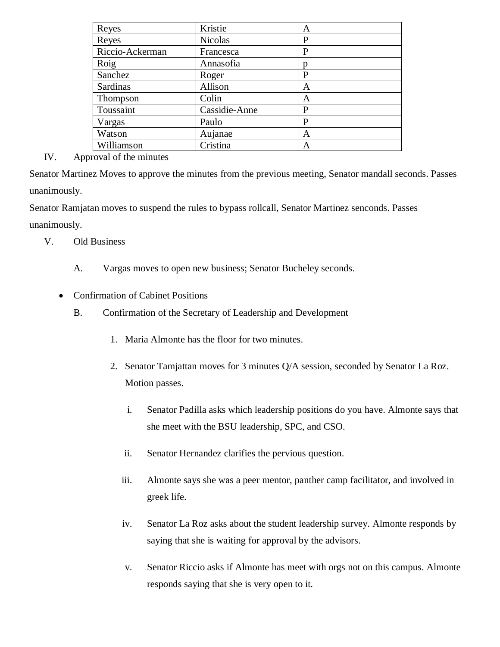| Reyes           | Kristie        | Α |
|-----------------|----------------|---|
| Reyes           | <b>Nicolas</b> | P |
| Riccio-Ackerman | Francesca      | P |
| Roig            | Annasofia      |   |
| Sanchez         | Roger          | P |
| Sardinas        | Allison        | A |
| Thompson        | Colin          | A |
| Toussaint       | Cassidie-Anne  | P |
| Vargas          | Paulo          | P |
| Watson          | Aujanae        | A |
| Williamson      | Cristina       | А |

## IV. Approval of the minutes

Senator Martinez Moves to approve the minutes from the previous meeting, Senator mandall seconds. Passes unanimously.

Senator Ramjatan moves to suspend the rules to bypass rollcall, Senator Martinez senconds. Passes unanimously.

- V. Old Business
	- A. Vargas moves to open new business; Senator Bucheley seconds.

## • Confirmation of Cabinet Positions

- B. Confirmation of the Secretary of Leadership and Development
	- 1. Maria Almonte has the floor for two minutes.
	- 2. Senator Tamjattan moves for 3 minutes Q/A session, seconded by Senator La Roz. Motion passes.
		- i. Senator Padilla asks which leadership positions do you have. Almonte says that she meet with the BSU leadership, SPC, and CSO.
		- ii. Senator Hernandez clarifies the pervious question.
		- iii. Almonte says she was a peer mentor, panther camp facilitator, and involved in greek life.
		- iv. Senator La Roz asks about the student leadership survey. Almonte responds by saying that she is waiting for approval by the advisors.
		- v. Senator Riccio asks if Almonte has meet with orgs not on this campus. Almonte responds saying that she is very open to it.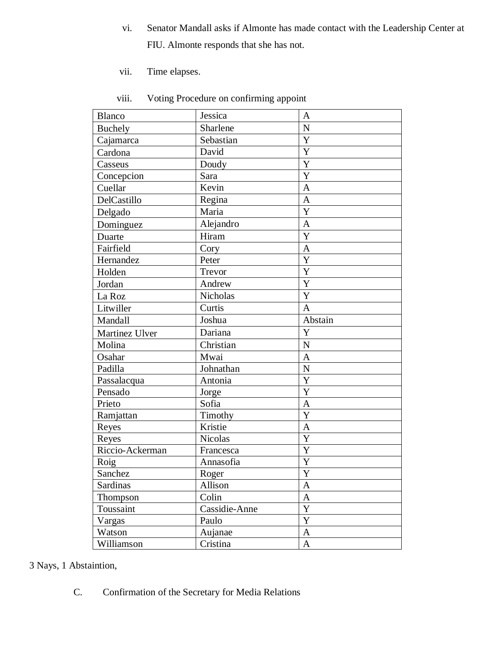- vi. Senator Mandall asks if Almonte has made contact with the Leadership Center at FIU. Almonte responds that she has not.
- vii. Time elapses.

| <b>Blanco</b>   | Jessica       | A                |
|-----------------|---------------|------------------|
| <b>Buchely</b>  | Sharlene      | ${\bf N}$        |
| Cajamarca       | Sebastian     | Y                |
| Cardona         | David         | Y                |
| Casseus         | Doudy         | Y                |
| Concepcion      | Sara          | Y                |
| Cuellar         | Kevin         | $\mathbf{A}$     |
| DelCastillo     | Regina        | $\mathbf{A}$     |
| Delgado         | Maria         | $\mathbf Y$      |
| Dominguez       | Alejandro     | $\mathbf{A}$     |
| Duarte          | Hiram         | Y                |
| Fairfield       | Cory          | $\mathbf{A}$     |
| Hernandez       | Peter         | Y                |
| Holden          | Trevor        | Y                |
| Jordan          | Andrew        | Y                |
| La Roz          | Nicholas      | Y                |
| Litwiller       | Curtis        | $\mathbf{A}$     |
| Mandall         | Joshua        | Abstain          |
| Martinez Ulver  | Dariana       | Y                |
| Molina          | Christian     | $\mathbf N$      |
| Osahar          | Mwai          | $\mathbf{A}$     |
| Padilla         | Johnathan     | ${\bf N}$        |
| Passalacqua     | Antonia       | Y                |
| Pensado         | Jorge         | Y                |
| Prieto          | Sofia         | $\overline{A}$   |
| Ramjattan       | Timothy       | Y                |
| Reyes           | Kristie       | A                |
| Reyes           | Nicolas       | Y                |
| Riccio-Ackerman | Francesca     | Y                |
| Roig            | Annasofia     | Y                |
| Sanchez         | Roger         | $\mathbf Y$      |
| Sardinas        | Allison       | A                |
| <b>Thompson</b> | Colin         | $\mathbf A$      |
| Toussaint       | Cassidie-Anne | Y                |
| Vargas          | Paulo         | $\mathbf Y$      |
| Watson          | Aujanae       | $\boldsymbol{A}$ |
| Williamson      | Cristina      | $\mathbf{A}$     |

viii. Voting Procedure on confirming appoint

3 Nays, 1 Abstaintion,

C. Confirmation of the Secretary for Media Relations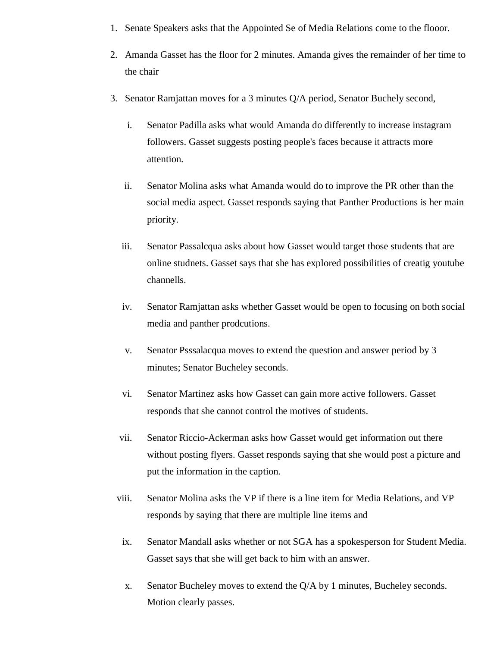- 1. Senate Speakers asks that the Appointed Se of Media Relations come to the flooor.
- 2. Amanda Gasset has the floor for 2 minutes. Amanda gives the remainder of her time to the chair
- 3. Senator Ramjattan moves for a 3 minutes Q/A period, Senator Buchely second,
	- i. Senator Padilla asks what would Amanda do differently to increase instagram followers. Gasset suggests posting people's faces because it attracts more attention.
	- ii. Senator Molina asks what Amanda would do to improve the PR other than the social media aspect. Gasset responds saying that Panther Productions is her main priority.
	- iii. Senator Passalcqua asks about how Gasset would target those students that are online studnets. Gasset says that she has explored possibilities of creatig youtube channells.
	- iv. Senator Ramjattan asks whether Gasset would be open to focusing on both social media and panther prodcutions.
	- v. Senator Psssalacqua moves to extend the question and answer period by 3 minutes; Senator Bucheley seconds.
	- vi. Senator Martinez asks how Gasset can gain more active followers. Gasset responds that she cannot control the motives of students.
	- vii. Senator Riccio-Ackerman asks how Gasset would get information out there without posting flyers. Gasset responds saying that she would post a picture and put the information in the caption.
	- viii. Senator Molina asks the VP if there is a line item for Media Relations, and VP responds by saying that there are multiple line items and
	- ix. Senator Mandall asks whether or not SGA has a spokesperson for Student Media. Gasset says that she will get back to him with an answer.
	- x. Senator Bucheley moves to extend the Q/A by 1 minutes, Bucheley seconds. Motion clearly passes.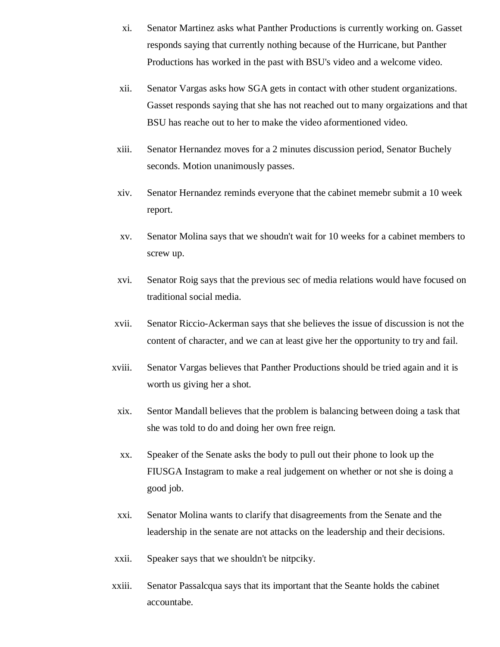- xi. Senator Martinez asks what Panther Productions is currently working on. Gasset responds saying that currently nothing because of the Hurricane, but Panther Productions has worked in the past with BSU's video and a welcome video.
- xii. Senator Vargas asks how SGA gets in contact with other student organizations. Gasset responds saying that she has not reached out to many orgaizations and that BSU has reache out to her to make the video aformentioned video.
- xiii. Senator Hernandez moves for a 2 minutes discussion period, Senator Buchely seconds. Motion unanimously passes.
- xiv. Senator Hernandez reminds everyone that the cabinet memebr submit a 10 week report.
- xv. Senator Molina says that we shoudn't wait for 10 weeks for a cabinet members to screw up.
- xvi. Senator Roig says that the previous sec of media relations would have focused on traditional social media.
- xvii. Senator Riccio-Ackerman says that she believes the issue of discussion is not the content of character, and we can at least give her the opportunity to try and fail.
- xviii. Senator Vargas believes that Panther Productions should be tried again and it is worth us giving her a shot.
- xix. Sentor Mandall believes that the problem is balancing between doing a task that she was told to do and doing her own free reign.
- xx. Speaker of the Senate asks the body to pull out their phone to look up the FIUSGA Instagram to make a real judgement on whether or not she is doing a good job.
- xxi. Senator Molina wants to clarify that disagreements from the Senate and the leadership in the senate are not attacks on the leadership and their decisions.
- xxii. Speaker says that we shouldn't be nitpciky.
- xxiii. Senator Passalcqua says that its important that the Seante holds the cabinet accountabe.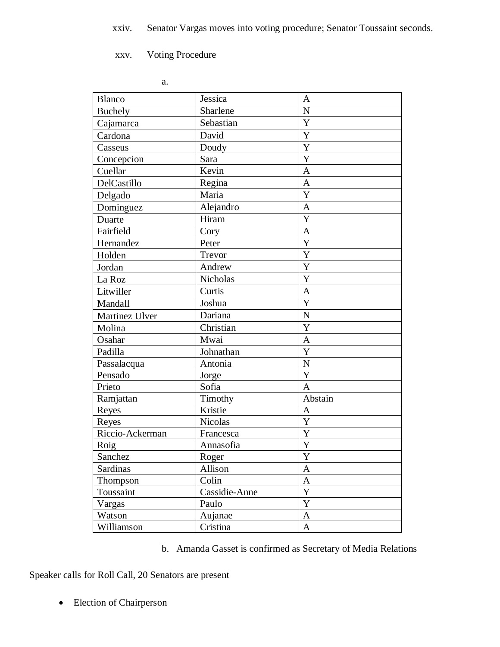xxv. Voting Procedure

| <b>Blanco</b>   | Jessica         | A              |
|-----------------|-----------------|----------------|
| Buchely         | Sharlene        | $\overline{N}$ |
| Cajamarca       | Sebastian       | Y              |
| Cardona         | David           | Y              |
| Casseus         | Doudy           | Y              |
| Concepcion      | Sara            | Y              |
| Cuellar         | Kevin           | $\mathbf{A}$   |
| DelCastillo     | Regina          | $\mathbf{A}$   |
| Delgado         | Maria           | Y              |
| Dominguez       | Alejandro       | $\mathbf{A}$   |
| Duarte          | Hiram           | Y              |
| Fairfield       | Cory            | $\mathbf{A}$   |
| Hernandez       | Peter           | Y              |
| Holden          | Trevor          | Y              |
| Jordan          | Andrew          | Y              |
| La Roz          | <b>Nicholas</b> | Y              |
| Litwiller       | Curtis          | A              |
| Mandall         | Joshua          | Y              |
| Martinez Ulver  | Dariana         | $\mathbf N$    |
| Molina          | Christian       | Y              |
| Osahar          | Mwai            | A              |
| Padilla         | Johnathan       | Y              |
| Passalacqua     | Antonia         | ${\bf N}$      |
| Pensado         | Jorge           | Y              |
| Prieto          | Sofia           | A              |
| Ramjattan       | Timothy         | Abstain        |
| Reyes           | Kristie         | $\mathbf{A}$   |
| Reyes           | <b>Nicolas</b>  | Y              |
| Riccio-Ackerman | Francesca       | Y              |
| Roig            | Annasofia       | Y              |
| Sanchez         | Roger           | $\mathbf Y$    |
| Sardinas        | Allison         | A              |
| Thompson        | Colin           | $\mathbf{A}$   |
| Toussaint       | Cassidie-Anne   | $\mathbf Y$    |
| Vargas          | Paulo           | $\mathbf Y$    |
| Watson          | Aujanae         | A              |
| Williamson      | Cristina        | $\mathbf{A}$   |

b. Amanda Gasset is confirmed as Secretary of Media Relations

Speaker calls for Roll Call, 20 Senators are present

• Election of Chairperson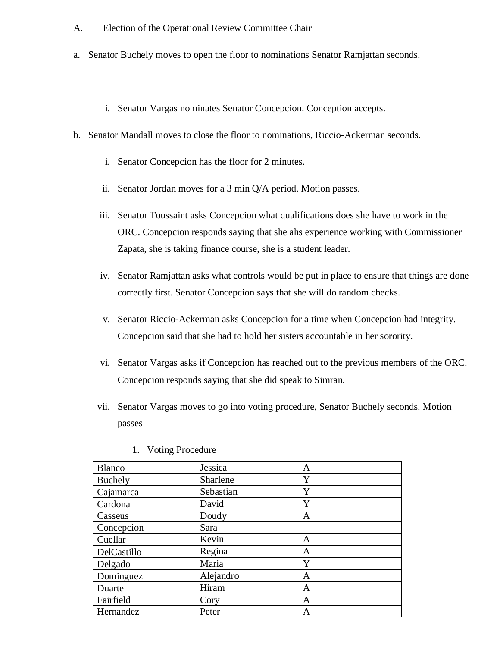- A. Election of the Operational Review Committee Chair
- a. Senator Buchely moves to open the floor to nominations Senator Ramjattan seconds.
	- i. Senator Vargas nominates Senator Concepcion. Conception accepts.
- b. Senator Mandall moves to close the floor to nominations, Riccio-Ackerman seconds.
	- i. Senator Concepcion has the floor for 2 minutes.
	- ii. Senator Jordan moves for a 3 min Q/A period. Motion passes.
	- iii. Senator Toussaint asks Concepcion what qualifications does she have to work in the ORC. Concepcion responds saying that she ahs experience working with Commissioner Zapata, she is taking finance course, she is a student leader.
	- iv. Senator Ramjattan asks what controls would be put in place to ensure that things are done correctly first. Senator Concepcion says that she will do random checks.
	- v. Senator Riccio-Ackerman asks Concepcion for a time when Concepcion had integrity. Concepcion said that she had to hold her sisters accountable in her sorority.
	- vi. Senator Vargas asks if Concepcion has reached out to the previous members of the ORC. Concepcion responds saying that she did speak to Simran.
	- vii. Senator Vargas moves to go into voting procedure, Senator Buchely seconds. Motion passes

| <b>Blanco</b>  | Jessica   | A |
|----------------|-----------|---|
| <b>Buchely</b> | Sharlene  | Y |
| Cajamarca      | Sebastian | Y |
| Cardona        | David     | Y |
| Casseus        | Doudy     | A |
| Concepcion     | Sara      |   |
| Cuellar        | Kevin     | A |
| DelCastillo    | Regina    | A |
| Delgado        | Maria     | Y |
| Dominguez      | Alejandro | A |
| Duarte         | Hiram     | A |
| Fairfield      | Cory      | A |
| Hernandez      | Peter     | А |

1. Voting Procedure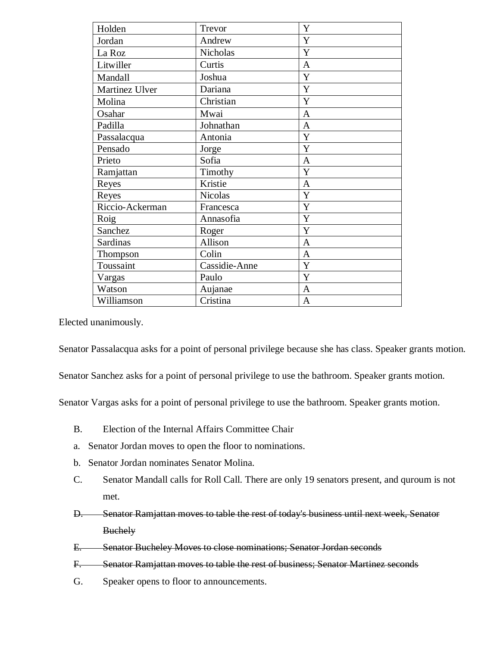| Holden          | Trevor          | $\mathbf Y$    |
|-----------------|-----------------|----------------|
| Jordan          | Andrew          | Y              |
| La Roz          | <b>Nicholas</b> | Y              |
| Litwiller       | Curtis          | $\mathbf{A}$   |
| Mandall         | Joshua          | Y              |
| Martinez Ulver  | Dariana         | Y              |
| Molina          | Christian       | Y              |
| Osahar          | Mwai            | $\mathbf{A}$   |
| Padilla         | Johnathan       | $\overline{A}$ |
| Passalacqua     | Antonia         | Y              |
| Pensado         | Jorge           | Y              |
| Prieto          | Sofia           | $\overline{A}$ |
| Ramjattan       | Timothy         | Y              |
| Reyes           | Kristie         | A              |
| Reyes           | <b>Nicolas</b>  | Y              |
| Riccio-Ackerman | Francesca       | Y              |
| Roig            | Annasofia       | Y              |
| Sanchez         | Roger           | Y              |
| <b>Sardinas</b> | Allison         | $\mathbf{A}$   |
| Thompson        | Colin           | $\mathbf{A}$   |
| Toussaint       | Cassidie-Anne   | Y              |
| Vargas          | Paulo           | Y              |
| Watson          | Aujanae         | $\mathbf{A}$   |
| Williamson      | Cristina        | A              |

Elected unanimously.

Senator Passalacqua asks for a point of personal privilege because she has class. Speaker grants motion.

Senator Sanchez asks for a point of personal privilege to use the bathroom. Speaker grants motion.

Senator Vargas asks for a point of personal privilege to use the bathroom. Speaker grants motion.

- B. Election of the Internal Affairs Committee Chair
- a. Senator Jordan moves to open the floor to nominations.
- b. Senator Jordan nominates Senator Molina.
- C. Senator Mandall calls for Roll Call. There are only 19 senators present, and quroum is not met.
- D. Senator Ramjattan moves to table the rest of today's business until next week, Senator **Buchely**
- E. Senator Bucheley Moves to close nominations; Senator Jordan seconds
- F. Senator Ramjattan moves to table the rest of business; Senator Martinez seconds
- G. Speaker opens to floor to announcements.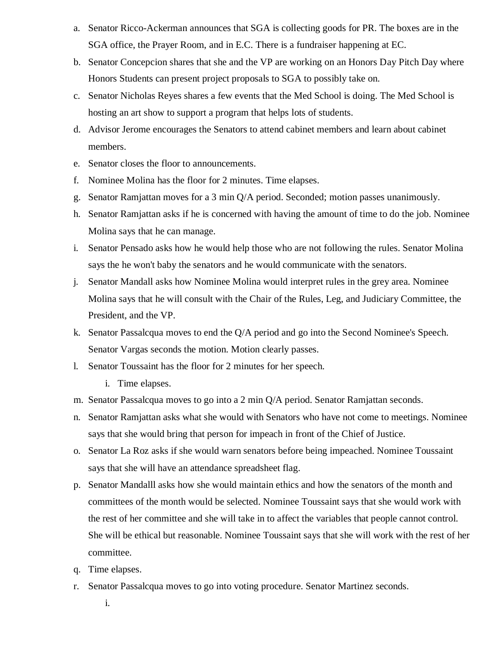- a. Senator Ricco-Ackerman announces that SGA is collecting goods for PR. The boxes are in the SGA office, the Prayer Room, and in E.C. There is a fundraiser happening at EC.
- b. Senator Concepcion shares that she and the VP are working on an Honors Day Pitch Day where Honors Students can present project proposals to SGA to possibly take on.
- c. Senator Nicholas Reyes shares a few events that the Med School is doing. The Med School is hosting an art show to support a program that helps lots of students.
- d. Advisor Jerome encourages the Senators to attend cabinet members and learn about cabinet members.
- e. Senator closes the floor to announcements.
- f. Nominee Molina has the floor for 2 minutes. Time elapses.
- g. Senator Ramjattan moves for a 3 min Q/A period. Seconded; motion passes unanimously.
- h. Senator Ramjattan asks if he is concerned with having the amount of time to do the job. Nominee Molina says that he can manage.
- i. Senator Pensado asks how he would help those who are not following the rules. Senator Molina says the he won't baby the senators and he would communicate with the senators.
- j. Senator Mandall asks how Nominee Molina would interpret rules in the grey area. Nominee Molina says that he will consult with the Chair of the Rules, Leg, and Judiciary Committee, the President, and the VP.
- k. Senator Passalcqua moves to end the Q/A period and go into the Second Nominee's Speech. Senator Vargas seconds the motion. Motion clearly passes.
- l. Senator Toussaint has the floor for 2 minutes for her speech.
	- i. Time elapses.
- m. Senator Passalcqua moves to go into a 2 min Q/A period. Senator Ramjattan seconds.
- n. Senator Ramjattan asks what she would with Senators who have not come to meetings. Nominee says that she would bring that person for impeach in front of the Chief of Justice.
- o. Senator La Roz asks if she would warn senators before being impeached. Nominee Toussaint says that she will have an attendance spreadsheet flag.
- p. Senator Mandalll asks how she would maintain ethics and how the senators of the month and committees of the month would be selected. Nominee Toussaint says that she would work with the rest of her committee and she will take in to affect the variables that people cannot control. She will be ethical but reasonable. Nominee Toussaint says that she will work with the rest of her committee.
- q. Time elapses.
- r. Senator Passalcqua moves to go into voting procedure. Senator Martinez seconds.
	- i.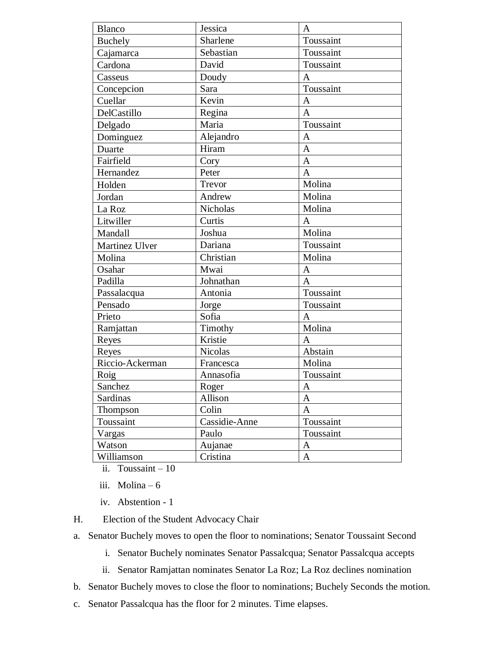| Blanco          | Jessica         | A              |
|-----------------|-----------------|----------------|
| <b>Buchely</b>  | Sharlene        | Toussaint      |
| Cajamarca       | Sebastian       | Toussaint      |
| Cardona         | David           | Toussaint      |
| Casseus         | Doudy           | A              |
| Concepcion      | Sara            | Toussaint      |
| Cuellar         | Kevin           | $\mathbf{A}$   |
| DelCastillo     | Regina          | $\overline{A}$ |
| Delgado         | Maria           | Toussaint      |
| Dominguez       | Alejandro       | $\mathbf{A}$   |
| Duarte          | Hiram           | A              |
| Fairfield       | Cory            | $\overline{A}$ |
| Hernandez       | Peter           | A              |
| Holden          | Trevor          | Molina         |
| Jordan          | Andrew          | Molina         |
| La Roz          | <b>Nicholas</b> | Molina         |
| Litwiller       | Curtis          | A              |
| Mandall         | Joshua          | Molina         |
| Martinez Ulver  | Dariana         | Toussaint      |
| Molina          | Christian       | Molina         |
| Osahar          | Mwai            | A              |
| Padilla         | Johnathan       | $\mathbf{A}$   |
| Passalacqua     | Antonia         | Toussaint      |
| Pensado         | Jorge           | Toussaint      |
| Prieto          | Sofia           | A              |
| Ramjattan       | Timothy         | Molina         |
| Reyes           | Kristie         | A              |
| Reyes           | <b>Nicolas</b>  | Abstain        |
| Riccio-Ackerman | Francesca       | Molina         |
| Roig            | Annasofia       | Toussaint      |
| Sanchez         | Roger           | $\mathbf{A}$   |
| Sardinas        | Allison         | A              |
| Thompson        | Colin           | A              |
| Toussaint       | Cassidie-Anne   | Toussaint      |
| Vargas          | Paulo           | Toussaint      |
| Watson          | Aujanae         | A              |
| Williamson      | Cristina        | A              |

ii. Toussaint – 10

iii. Molina – 6

iv. Abstention - 1

H. Election of the Student Advocacy Chair

a. Senator Buchely moves to open the floor to nominations; Senator Toussaint Second

i. Senator Buchely nominates Senator Passalcqua; Senator Passalcqua accepts

ii. Senator Ramjattan nominates Senator La Roz; La Roz declines nomination

b. Senator Buchely moves to close the floor to nominations; Buchely Seconds the motion.

c. Senator Passalcqua has the floor for 2 minutes. Time elapses.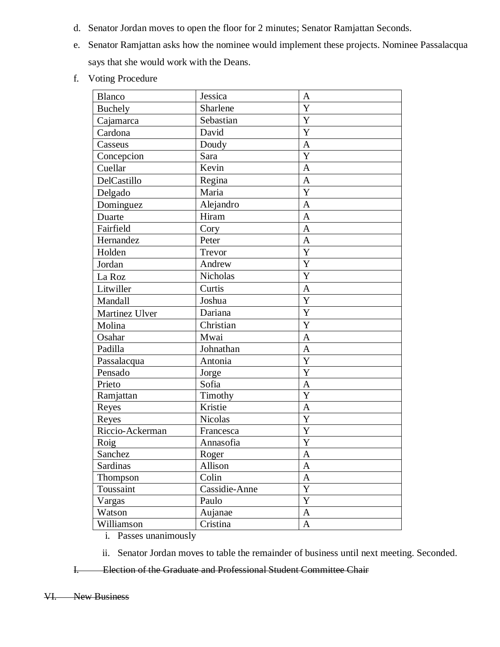- d. Senator Jordan moves to open the floor for 2 minutes; Senator Ramjattan Seconds.
- e. Senator Ramjattan asks how the nominee would implement these projects. Nominee Passalacqua says that she would work with the Deans.
- f. Voting Procedure

| <b>Blanco</b>   | Jessica         | A                     |
|-----------------|-----------------|-----------------------|
| <b>Buchely</b>  | Sharlene        | Y                     |
| Cajamarca       | Sebastian       | Y                     |
| Cardona         | David           | Y                     |
| Casseus         | Doudy           | $\mathbf{A}$          |
| Concepcion      | Sara            | Y                     |
| Cuellar         | Kevin           | $\mathbf{A}$          |
| DelCastillo     | Regina          | A                     |
| Delgado         | Maria           | $\overline{\text{Y}}$ |
| Dominguez       | Alejandro       | $\mathbf{A}$          |
| Duarte          | Hiram           | $\mathbf{A}$          |
| Fairfield       | Cory            | $\mathbf{A}$          |
| Hernandez       | Peter           | $\overline{A}$        |
| Holden          | Trevor          | Y                     |
| Jordan          | Andrew          | Y                     |
| La Roz          | <b>Nicholas</b> | Y                     |
| Litwiller       | Curtis          | $\mathbf{A}$          |
| Mandall         | Joshua          | Y                     |
| Martinez Ulver  | Dariana         | Y                     |
| Molina          | Christian       | Y                     |
| Osahar          | Mwai            | $\mathbf{A}$          |
| Padilla         | Johnathan       | $\mathbf{A}$          |
| Passalacqua     | Antonia         | Y                     |
| Pensado         | Jorge           | Y                     |
| Prieto          | Sofia           | A                     |
| Ramjattan       | Timothy         | Y                     |
| Reyes           | Kristie         | $\overline{A}$        |
| Reyes           | <b>Nicolas</b>  | Y                     |
| Riccio-Ackerman | Francesca       | Y                     |
| Roig            | Annasofia       | $\mathbf Y$           |
| Sanchez         | Roger           | $\boldsymbol{\rm{A}}$ |
| Sardinas        | Allison         | A                     |
| Thompson        | Colin           | $\mathbf{A}$          |
| Toussaint       | Cassidie-Anne   | Y                     |
| Vargas          | Paulo           | $\mathbf Y$           |
| Watson          | Aujanae         | A                     |
| Williamson      | Cristina        | A                     |

- i. Passes unanimously
- ii. Senator Jordan moves to table the remainder of business until next meeting. Seconded.

I. Election of the Graduate and Professional Student Committee Chair